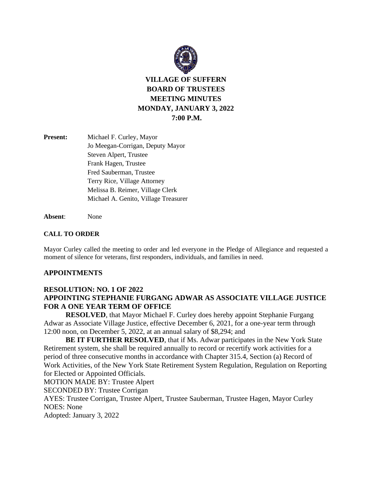

**VILLAGE OF SUFFERN BOARD OF TRUSTEES MEETING MINUTES MONDAY, JANUARY 3, 2022 7:00 P.M.**

| <b>Present:</b> | Michael F. Curley, Mayor             |
|-----------------|--------------------------------------|
|                 | Jo Meegan-Corrigan, Deputy Mayor     |
|                 | Steven Alpert, Trustee               |
|                 | Frank Hagen, Trustee                 |
|                 | Fred Sauberman, Trustee              |
|                 | Terry Rice, Village Attorney         |
|                 | Melissa B. Reimer, Village Clerk     |
|                 | Michael A. Genito, Village Treasurer |
|                 |                                      |

**Absent**: None

#### **CALL TO ORDER**

Mayor Curley called the meeting to order and led everyone in the Pledge of Allegiance and requested a moment of silence for veterans, first responders, individuals, and families in need.

#### **APPOINTMENTS**

# **RESOLUTION: NO. 1 OF 2022 APPOINTING STEPHANIE FURGANG ADWAR AS ASSOCIATE VILLAGE JUSTICE FOR A ONE YEAR TERM OF OFFICE**

**RESOLVED**, that Mayor Michael F. Curley does hereby appoint Stephanie Furgang Adwar as Associate Village Justice, effective December 6, 2021, for a one-year term through 12:00 noon, on December 5, 2022, at an annual salary of \$8,294; and

**BE IT FURTHER RESOLVED**, that if Ms. Adwar participates in the New York State Retirement system, she shall be required annually to record or recertify work activities for a period of three consecutive months in accordance with Chapter 315.4, Section (a) Record of Work Activities, of the New York State Retirement System Regulation, Regulation on Reporting for Elected or Appointed Officials.

MOTION MADE BY: Trustee Alpert

SECONDED BY: Trustee Corrigan

AYES: Trustee Corrigan, Trustee Alpert, Trustee Sauberman, Trustee Hagen, Mayor Curley NOES: None

Adopted: January 3, 2022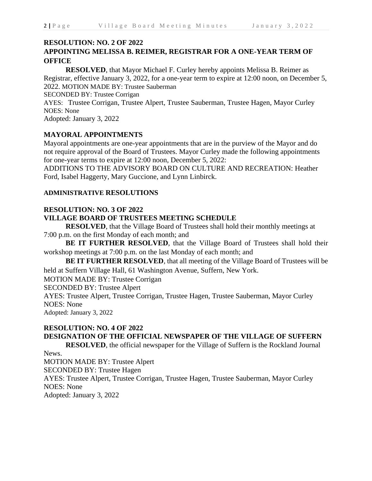# **RESOLUTION: NO. 2 OF 2022**

# **APPOINTING MELISSA B. REIMER, REGISTRAR FOR A ONE-YEAR TERM OF OFFICE**

**RESOLVED**, that Mayor Michael F. Curley hereby appoints Melissa B. Reimer as Registrar, effective January 3, 2022, for a one-year term to expire at 12:00 noon, on December 5, 2022. MOTION MADE BY: Trustee Sauberman

SECONDED BY: Trustee Corrigan

AYES: Trustee Corrigan, Trustee Alpert, Trustee Sauberman, Trustee Hagen, Mayor Curley NOES: None

Adopted: January 3, 2022

# **MAYORAL APPOINTMENTS**

Mayoral appointments are one-year appointments that are in the purview of the Mayor and do not require approval of the Board of Trustees. Mayor Curley made the following appointments for one-year terms to expire at 12:00 noon, December 5, 2022:

ADDITIONS TO THE ADVISORY BOARD ON CULTURE AND RECREATION: Heather Ford, Isabel Haggerty, Mary Guccione, and Lynn Linbirck.

#### **ADMINISTRATIVE RESOLUTIONS**

#### **RESOLUTION: NO. 3 OF 2022**

# **VILLAGE BOARD OF TRUSTEES MEETING SCHEDULE**

**RESOLVED**, that the Village Board of Trustees shall hold their monthly meetings at 7:00 p.m. on the first Monday of each month; and

**BE IT FURTHER RESOLVED**, that the Village Board of Trustees shall hold their workshop meetings at 7:00 p.m. on the last Monday of each month; and

**BE IT FURTHER RESOLVED**, that all meeting of the Village Board of Trustees will be held at Suffern Village Hall, 61 Washington Avenue, Suffern, New York.

MOTION MADE BY: Trustee Corrigan

SECONDED BY: Trustee Alpert

AYES: Trustee Alpert, Trustee Corrigan, Trustee Hagen, Trustee Sauberman, Mayor Curley NOES: None

Adopted: January 3, 2022

# **RESOLUTION: NO. 4 OF 2022**

# **DESIGNATION OF THE OFFICIAL NEWSPAPER OF THE VILLAGE OF SUFFERN**

**RESOLVED**, the official newspaper for the Village of Suffern is the Rockland Journal

#### News.

MOTION MADE BY: Trustee Alpert

SECONDED BY: Trustee Hagen

AYES: Trustee Alpert, Trustee Corrigan, Trustee Hagen, Trustee Sauberman, Mayor Curley NOES: None

Adopted: January 3, 2022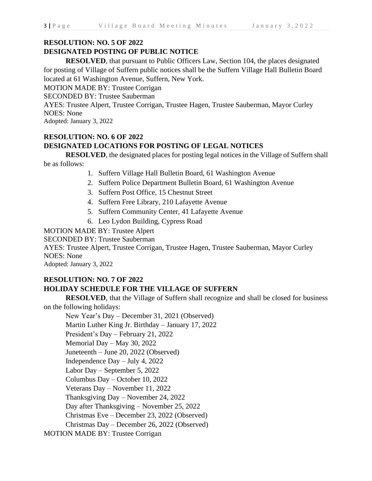# **RESOLUTION: NO. 5 OF 2022**

# **DESIGNATED POSTING OF PUBLIC NOTICE**

**RESOLVED**, that pursuant to Public Officers Law, Section 104, the places designated for posting of Village of Suffern public notices shall be the Suffern Village Hall Bulletin Board located at 61 Washington Avenue, Suffern, New York.

MOTION MADE BY: Trustee Corrigan

SECONDED BY: Trustee Sauberman

AYES: Trustee Alpert, Trustee Corrigan, Trustee Hagen, Trustee Sauberman, Mayor Curley NOES: None

Adopted: January 3, 2022

# **RESOLUTION: NO. 6 OF 2022 DESIGNATED LOCATIONS FOR POSTING OF LEGAL NOTICES**

**RESOLVED**, the designated places for posting legal notices in the Village of Suffern shall be as follows:

1. Suffern Village Hall Bulletin Board, 61 Washington Avenue

- 2. Suffern Police Department Bulletin Board, 61 Washington Avenue
- 3. Suffern Post Office, 15 Chestnut Street
- 4. Suffern Free Library, 210 Lafayette Avenue
- 5. Suffern Community Center, 41 Lafayette Avenue
- 6. Leo Lydon Building, Cypress Road

MOTION MADE BY: Trustee Alpert

SECONDED BY: Trustee Sauberman

AYES: Trustee Alpert, Trustee Corrigan, Trustee Hagen, Trustee Sauberman, Mayor Curley NOES: None

Adopted: January 3, 2022

# **RESOLUTION: NO. 7 OF 2022 HOLIDAY SCHEDULE FOR THE VILLAGE OF SUFFERN**

**RESOLVED**, that the Village of Suffern shall recognize and shall be closed for business on the following holidays:

New Year's Day – December 31, 2021 (Observed) Martin Luther King Jr. Birthday – January 17, 2022 President's Day – February 21, 2022 Memorial Day – May 30, 2022 Juneteenth – June 20, 2022 (Observed) Independence Day – July 4, 2022 Labor Day – September 5, 2022 Columbus Day – October 10, 2022 Veterans Day – November 11, 2022 Thanksgiving Day – November 24, 2022 Day after Thanksgiving – November 25, 2022 Christmas Eve – December 23, 2022 (Observed) Christmas Day – December 26, 2022 (Observed) MOTION MADE BY: Trustee Corrigan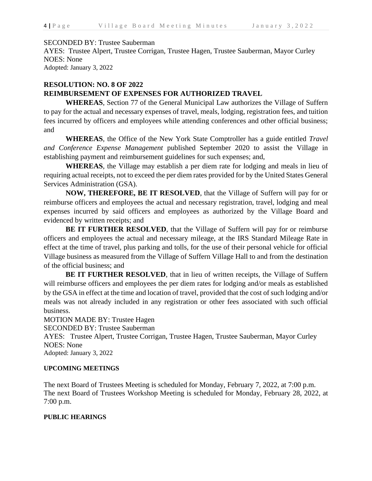#### SECONDED BY: Trustee Sauberman

AYES: Trustee Alpert, Trustee Corrigan, Trustee Hagen, Trustee Sauberman, Mayor Curley NOES: None Adopted: January 3, 2022

#### **RESOLUTION: NO. 8 OF 2022**

#### **REIMBURSEMENT OF EXPENSES FOR AUTHORIZED TRAVEL**

**WHEREAS**, Section 77 of the General Municipal Law authorizes the Village of Suffern to pay for the actual and necessary expenses of travel, meals, lodging, registration fees, and tuition fees incurred by officers and employees while attending conferences and other official business; and

**WHEREAS**, the Office of the New York State Comptroller has a guide entitled *Travel and Conference Expense Management* published September 2020 to assist the Village in establishing payment and reimbursement guidelines for such expenses; and,

**WHEREAS**, the Village may establish a per diem rate for lodging and meals in lieu of requiring actual receipts, not to exceed the per diem rates provided for by the United States General Services Administration (GSA).

**NOW, THEREFORE, BE IT RESOLVED**, that the Village of Suffern will pay for or reimburse officers and employees the actual and necessary registration, travel, lodging and meal expenses incurred by said officers and employees as authorized by the Village Board and evidenced by written receipts; and

**BE IT FURTHER RESOLVED**, that the Village of Suffern will pay for or reimburse officers and employees the actual and necessary mileage, at the IRS Standard Mileage Rate in effect at the time of travel, plus parking and tolls, for the use of their personal vehicle for official Village business as measured from the Village of Suffern Village Hall to and from the destination of the official business; and

**BE IT FURTHER RESOLVED**, that in lieu of written receipts, the Village of Suffern will reimburse officers and employees the per diem rates for lodging and/or meals as established by the GSA in effect at the time and location of travel, provided that the cost of such lodging and/or meals was not already included in any registration or other fees associated with such official business.

MOTION MADE BY: Trustee Hagen

SECONDED BY: Trustee Sauberman

AYES: Trustee Alpert, Trustee Corrigan, Trustee Hagen, Trustee Sauberman, Mayor Curley NOES: None

Adopted: January 3, 2022

#### **UPCOMING MEETINGS**

The next Board of Trustees Meeting is scheduled for Monday, February 7, 2022, at 7:00 p.m. The next Board of Trustees Workshop Meeting is scheduled for Monday, February 28, 2022, at 7:00 p.m.

#### **PUBLIC HEARINGS**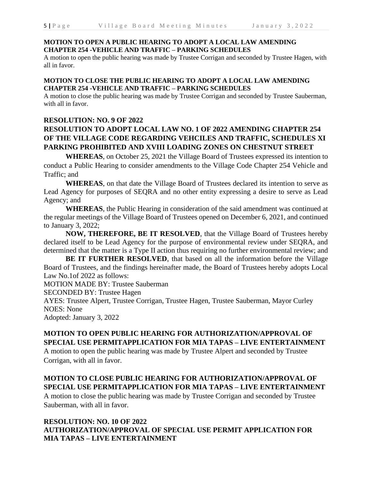A motion to open the public hearing was made by Trustee Corrigan and seconded by Trustee Hagen, with all in favor.

#### **MOTION TO CLOSE THE PUBLIC HEARING TO ADOPT A LOCAL LAW AMENDING CHAPTER 254 -VEHICLE AND TRAFFIC – PARKING SCHEDULES**

A motion to close the public hearing was made by Trustee Corrigan and seconded by Trustee Sauberman, with all in favor.

### **RESOLUTION: NO. 9 OF 2022**

# **RESOLUTION TO ADOPT LOCAL LAW NO. 1 OF 2022 AMENDING CHAPTER 254 OF THE VILLAGE CODE REGARDING VEHCILES AND TRAFFIC, SCHEDULES XI PARKING PROHIBITED AND XVIII LOADING ZONES ON CHESTNUT STREET**

**WHEREAS**, on October 25, 2021 the Village Board of Trustees expressed its intention to conduct a Public Hearing to consider amendments to the Village Code Chapter 254 Vehicle and Traffic; and

**WHEREAS**, on that date the Village Board of Trustees declared its intention to serve as Lead Agency for purposes of SEQRA and no other entity expressing a desire to serve as Lead Agency; and

**WHEREAS**, the Public Hearing in consideration of the said amendment was continued at the regular meetings of the Village Board of Trustees opened on December 6, 2021, and continued to January 3, 2022;

**NOW, THEREFORE, BE IT RESOLVED**, that the Village Board of Trustees hereby declared itself to be Lead Agency for the purpose of environmental review under SEQRA, and determined that the matter is a Type II action thus requiring no further environmental review; and

**BE IT FURTHER RESOLVED**, that based on all the information before the Village Board of Trustees, and the findings hereinafter made, the Board of Trustees hereby adopts Local Law No.1of 2022 as follows:

MOTION MADE BY: Trustee Sauberman

SECONDED BY: Trustee Hagen

AYES: Trustee Alpert, Trustee Corrigan, Trustee Hagen, Trustee Sauberman, Mayor Curley NOES: None

Adopted: January 3, 2022

# **MOTION TO OPEN PUBLIC HEARING FOR AUTHORIZATION/APPROVAL OF SPECIAL USE PERMITAPPLICATION FOR MIA TAPAS – LIVE ENTERTAINMENT**

A motion to open the public hearing was made by Trustee Alpert and seconded by Trustee Corrigan, with all in favor.

# **MOTION TO CLOSE PUBLIC HEARING FOR AUTHORIZATION/APPROVAL OF SPECIAL USE PERMITAPPLICATION FOR MIA TAPAS – LIVE ENTERTAINMENT**

A motion to close the public hearing was made by Trustee Corrigan and seconded by Trustee Sauberman, with all in favor.

# **RESOLUTION: NO. 10 OF 2022 AUTHORIZATION/APPROVAL OF SPECIAL USE PERMIT APPLICATION FOR MIA TAPAS – LIVE ENTERTAINMENT**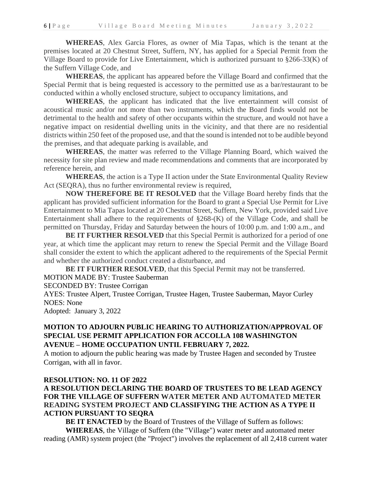**WHEREAS**, Alex Garcia Flores, as owner of Mia Tapas, which is the tenant at the premises located at 20 Chestnut Street, Suffern, NY, has applied for a Special Permit from the Village Board to provide for Live Entertainment, which is authorized pursuant to §266-33(K) of the Suffern Village Code, and

**WHEREAS**, the applicant has appeared before the Village Board and confirmed that the Special Permit that is being requested is accessory to the permitted use as a bar/restaurant to be conducted within a wholly enclosed structure, subject to occupancy limitations, and

**WHEREAS**, the applicant has indicated that the live entertainment will consist of acoustical music and/or not more than two instruments, which the Board finds would not be detrimental to the health and safety of other occupants within the structure, and would not have a negative impact on residential dwelling units in the vicinity, and that there are no residential districts within 250 feet of the proposed use, and that the sound is intended not to be audible beyond the premises, and that adequate parking is available, and

**WHEREAS**, the matter was referred to the Village Planning Board, which waived the necessity for site plan review and made recommendations and comments that are incorporated by reference herein, and

**WHEREAS**, the action is a Type II action under the State Environmental Quality Review Act (SEQRA), thus no further environmental review is required,

**NOW THEREFORE BE IT RESOLVED** that the Village Board hereby finds that the applicant has provided sufficient information for the Board to grant a Special Use Permit for Live Entertainment to Mia Tapas located at 20 Chestnut Street, Suffern, New York, provided said Live Entertainment shall adhere to the requirements of §268-(K) of the Village Code, and shall be permitted on Thursday, Friday and Saturday between the hours of 10:00 p.m. and 1:00 a.m., and

**BE IT FURTHER RESOLVED** that this Special Permit is authorized for a period of one year, at which time the applicant may return to renew the Special Permit and the Village Board shall consider the extent to which the applicant adhered to the requirements of the Special Permit and whether the authorized conduct created a disturbance, and

**BE IT FURTHER RESOLVED**, that this Special Permit may not be transferred.

MOTION MADE BY: Trustee Sauberman

SECONDED BY: Trustee Corrigan

AYES: Trustee Alpert, Trustee Corrigan, Trustee Hagen, Trustee Sauberman, Mayor Curley NOES: None

Adopted: January 3, 2022

# **MOTION TO ADJOURN PUBLIC HEARING TO AUTHORIZATION/APPROVAL OF SPECIAL USE PERMIT APPLICATION FOR ACCOLLA 108 WASHINGTON AVENUE – HOME OCCUPATION UNTIL FEBRUARY 7, 2022.**

A motion to adjourn the public hearing was made by Trustee Hagen and seconded by Trustee Corrigan, with all in favor.

#### **RESOLUTION: NO. 11 OF 2022**

# **A RESOLUTION DECLARING THE BOARD OF TRUSTEES TO BE LEAD AGENCY FOR THE VILLAGE OF SUFFERN WATER METER AND AUTOMATED METER READING SYSTEM PROJECT AND CLASSIFYING THE ACTION AS A TYPE II ACTION PURSUANT TO SEQRA**

**BE IT ENACTED** by the Board of Trustees of the Village of Suffern as follows:

**WHEREAS**, the Village of Suffern (the "Village") water meter and automated meter reading (AMR) system project (the "Project") involves the replacement of all 2,418 current water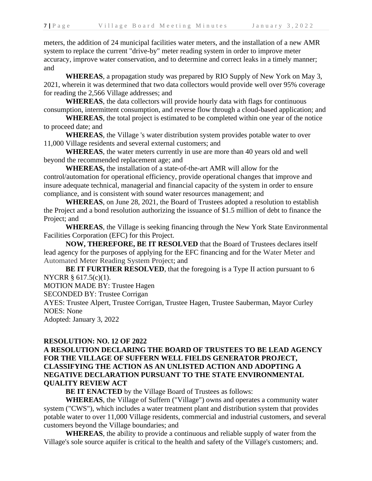meters, the addition of 24 municipal facilities water meters, and the installation of a new AMR system to replace the current "drive-by" meter reading system in order to improve meter accuracy, improve water conservation, and to determine and correct leaks in a timely manner; and

**WHEREAS**, a propagation study was prepared by RIO Supply of New York on May 3, 2021, wherein it was determined that two data collectors would provide well over 95% coverage for reading the 2,566 Village addresses; and

**WHEREAS**, the data collectors will provide hourly data with flags for continuous consumption, intermittent consumption, and reverse flow through a cloud-based application; and

**WHEREAS**, the total project is estimated to be completed within one year of the notice to proceed date; and

**WHEREAS**, the Village 's water distribution system provides potable water to over 11,000 Village residents and several external customers; and

**WHEREAS**, the water meters currently in use are more than 40 years old and well beyond the recommended replacement age; and

**WHEREAS,** the installation of a state-of-the-art AMR will allow for the control/automation for operational efficiency, provide operational changes that improve and insure adequate technical, managerial and financial capacity of the system in order to ensure compliance, and is consistent with sound water resources management; and

**WHEREAS**, on June 28, 2021, the Board of Trustees adopted a resolution to establish the Project and a bond resolution authorizing the issuance of \$1.5 million of debt to finance the Project; and

**WHEREAS**, the Village is seeking financing through the New York State Environmental Facilities Corporation (EFC) for this Project.

**NOW, THEREFORE, BE IT RESOLVED** that the Board of Trustees declares itself lead agency for the purposes of applying for the EFC financing and for the Water Meter and Automated Meter Reading System Project; and

**BE IT FURTHER RESOLVED**, that the foregoing is a Type II action pursuant to 6 NYCRR § 617.5(c)(1).

MOTION MADE BY: Trustee Hagen

SECONDED BY: Trustee Corrigan

AYES: Trustee Alpert, Trustee Corrigan, Trustee Hagen, Trustee Sauberman, Mayor Curley NOES: None

Adopted: January 3, 2022

# **RESOLUTION: NO. 12 OF 2022**

# **A RESOLUTION DECLARING THE BOARD OF TRUSTEES TO BE LEAD AGENCY FOR THE VILLAGE OF SUFFERN WELL FIELDS GENERATOR PROJECT, CLASSIFYING THE ACTION AS AN UNLISTED ACTION AND ADOPTING A NEGATIVE DECLARATION PURSUANT TO THE STATE ENVIRONMENTAL QUALITY REVIEW ACT**

**BE IT ENACTED** by the Village Board of Trustees as follows:

**WHEREAS**, the Village of Suffern ("Village") owns and operates a community water system ("CWS"), which includes a water treatment plant and distribution system that provides potable water to over 11,000 Village residents, commercial and industrial customers, and several customers beyond the Village boundaries; and

**WHEREAS**, the ability to provide a continuous and reliable supply of water from the Village's sole source aquifer is critical to the health and safety of the Village's customers; and.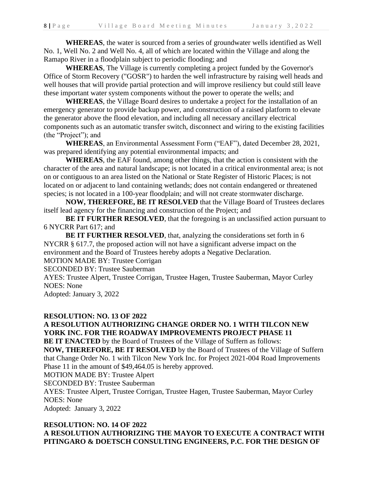**WHEREAS**, the water is sourced from a series of groundwater wells identified as Well No. 1, Well No. 2 and Well No. 4, all of which are located within the Village and along the Ramapo River in a floodplain subject to periodic flooding; and

WHEREAS, The Village is currently completing a project funded by the Governor's Office of Storm Recovery ("GOSR") to harden the well infrastructure by raising well heads and well houses that will provide partial protection and will improve resiliency but could still leave these important water system components without the power to operate the wells; and

**WHEREAS**, the Village Board desires to undertake a project for the installation of an emergency generator to provide backup power, and construction of a raised platform to elevate the generator above the flood elevation, and including all necessary ancillary electrical components such as an automatic transfer switch, disconnect and wiring to the existing facilities (the "Project"); and

**WHEREAS**, an Environmental Assessment Form ("EAF"), dated December 28, 2021, was prepared identifying any potential environmental impacts; and

**WHEREAS**, the EAF found, among other things, that the action is consistent with the character of the area and natural landscape; is not located in a critical environmental area; is not on or contiguous to an area listed on the National or State Register of Historic Places; is not located on or adjacent to land containing wetlands; does not contain endangered or threatened species; is not located in a 100-year floodplain; and will not create stormwater discharge.

**NOW, THEREFORE, BE IT RESOLVED** that the Village Board of Trustees declares itself lead agency for the financing and construction of the Project; and

**BE IT FURTHER RESOLVED**, that the foregoing is an unclassified action pursuant to 6 NYCRR Part 617; and

**BE IT FURTHER RESOLVED**, that, analyzing the considerations set forth in 6 NYCRR § 617.7, the proposed action will not have a significant adverse impact on the environment and the Board of Trustees hereby adopts a Negative Declaration.

MOTION MADE BY: Trustee Corrigan

SECONDED BY: Trustee Sauberman

AYES: Trustee Alpert, Trustee Corrigan, Trustee Hagen, Trustee Sauberman, Mayor Curley NOES: None

Adopted: January 3, 2022

#### **RESOLUTION: NO. 13 OF 2022**

# **A RESOLUTION AUTHORIZING CHANGE ORDER NO. 1 WITH TILCON NEW YORK INC. FOR THE ROADWAY IMPROVEMENTS PROJECT PHASE 11**

**BE IT ENACTED** by the Board of Trustees of the Village of Suffern as follows:

**NOW, THEREFORE, BE IT RESOLVED** by the Board of Trustees of the Village of Suffern that Change Order No. 1 with Tilcon New York Inc. for Project 2021-004 Road Improvements Phase 11 in the amount of \$49,464.05 is hereby approved.

MOTION MADE BY: Trustee Alpert

SECONDED BY: Trustee Sauberman

AYES: Trustee Alpert, Trustee Corrigan, Trustee Hagen, Trustee Sauberman, Mayor Curley NOES: None

Adopted: January 3, 2022

#### **RESOLUTION: NO. 14 OF 2022**

**A RESOLUTION AUTHORIZING THE MAYOR TO EXECUTE A CONTRACT WITH PITINGARO & DOETSCH CONSULTING ENGINEERS, P.C. FOR THE DESIGN OF**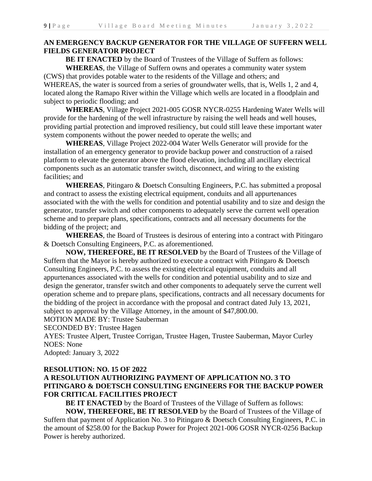# **AN EMERGENCY BACKUP GENERATOR FOR THE VILLAGE OF SUFFERN WELL FIELDS GENERATOR PROJECT**

**BE IT ENACTED** by the Board of Trustees of the Village of Suffern as follows: **WHEREAS**, the Village of Suffern owns and operates a community water system (CWS) that provides potable water to the residents of the Village and others; and WHEREAS, the water is sourced from a series of groundwater wells, that is, Wells 1, 2 and 4,

located along the Ramapo River within the Village which wells are located in a floodplain and subject to periodic flooding; and

**WHEREAS**, Village Project 2021-005 GOSR NYCR-0255 Hardening Water Wells will provide for the hardening of the well infrastructure by raising the well heads and well houses, providing partial protection and improved resiliency, but could still leave these important water system components without the power needed to operate the wells; and

**WHEREAS**, Village Project 2022-004 Water Wells Generator will provide for the installation of an emergency generator to provide backup power and construction of a raised platform to elevate the generator above the flood elevation, including all ancillary electrical components such as an automatic transfer switch, disconnect, and wiring to the existing facilities; and

**WHEREAS**, Pitingaro & Doetsch Consulting Engineers, P.C. has submitted a proposal and contract to assess the existing electrical equipment, conduits and all appurtenances associated with the with the wells for condition and potential usability and to size and design the generator, transfer switch and other components to adequately serve the current well operation scheme and to prepare plans, specifications, contracts and all necessary documents for the bidding of the project; and

**WHEREAS**, the Board of Trustees is desirous of entering into a contract with Pitingaro & Doetsch Consulting Engineers, P.C. as aforementioned.

**NOW, THEREFORE, BE IT RESOLVED** by the Board of Trustees of the Village of Suffern that the Mayor is hereby authorized to execute a contract with Pitingaro & Doetsch Consulting Engineers, P.C. to assess the existing electrical equipment, conduits and all appurtenances associated with the wells for condition and potential usability and to size and design the generator, transfer switch and other components to adequately serve the current well operation scheme and to prepare plans, specifications, contracts and all necessary documents for the bidding of the project in accordance with the proposal and contract dated July 13, 2021, subject to approval by the Village Attorney, in the amount of \$47,800.00.

MOTION MADE BY: Trustee Sauberman

SECONDED BY: Trustee Hagen

AYES: Trustee Alpert, Trustee Corrigan, Trustee Hagen, Trustee Sauberman, Mayor Curley NOES: None

Adopted: January 3, 2022

# **RESOLUTION: NO. 15 OF 2022**

# **A RESOLUTION AUTHORIZING PAYMENT OF APPLICATION NO. 3 TO PITINGARO & DOETSCH CONSULTING ENGINEERS FOR THE BACKUP POWER FOR CRITICAL FACILITIES PROJECT**

**BE IT ENACTED** by the Board of Trustees of the Village of Suffern as follows:

**NOW, THEREFORE, BE IT RESOLVED** by the Board of Trustees of the Village of Suffern that payment of Application No. 3 to Pitingaro & Doetsch Consulting Engineers, P.C. in the amount of \$258.00 for the Backup Power for Project 2021-006 GOSR NYCR-0256 Backup Power is hereby authorized.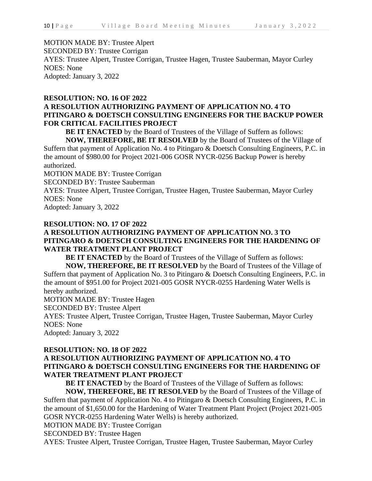# MOTION MADE BY: Trustee Alpert

SECONDED BY: Trustee Corrigan

AYES: Trustee Alpert, Trustee Corrigan, Trustee Hagen, Trustee Sauberman, Mayor Curley NOES: None Adopted: January 3, 2022

# **RESOLUTION: NO. 16 OF 2022 A RESOLUTION AUTHORIZING PAYMENT OF APPLICATION NO. 4 TO PITINGARO & DOETSCH CONSULTING ENGINEERS FOR THE BACKUP POWER FOR CRITICAL FACILITIES PROJECT**

**BE IT ENACTED** by the Board of Trustees of the Village of Suffern as follows:

**NOW, THEREFORE, BE IT RESOLVED** by the Board of Trustees of the Village of Suffern that payment of Application No. 4 to Pitingaro & Doetsch Consulting Engineers, P.C. in the amount of \$980.00 for Project 2021-006 GOSR NYCR-0256 Backup Power is hereby authorized.

MOTION MADE BY: Trustee Corrigan

SECONDED BY: Trustee Sauberman

AYES: Trustee Alpert, Trustee Corrigan, Trustee Hagen, Trustee Sauberman, Mayor Curley NOES: None

Adopted: January 3, 2022

# **RESOLUTION: NO. 17 OF 2022**

# **A RESOLUTION AUTHORIZING PAYMENT OF APPLICATION NO. 3 TO PITINGARO & DOETSCH CONSULTING ENGINEERS FOR THE HARDENING OF WATER TREATMENT PLANT PROJECT**

**BE IT ENACTED** by the Board of Trustees of the Village of Suffern as follows:

**NOW, THEREFORE, BE IT RESOLVED** by the Board of Trustees of the Village of Suffern that payment of Application No. 3 to Pitingaro & Doetsch Consulting Engineers, P.C. in the amount of \$951.00 for Project 2021-005 GOSR NYCR-0255 Hardening Water Wells is hereby authorized.

MOTION MADE BY: Trustee Hagen

SECONDED BY: Trustee Alpert

AYES: Trustee Alpert, Trustee Corrigan, Trustee Hagen, Trustee Sauberman, Mayor Curley NOES: None

Adopted: January 3, 2022

# **RESOLUTION: NO. 18 OF 2022 A RESOLUTION AUTHORIZING PAYMENT OF APPLICATION NO. 4 TO PITINGARO & DOETSCH CONSULTING ENGINEERS FOR THE HARDENING OF WATER TREATMENT PLANT PROJECT**

**BE IT ENACTED** by the Board of Trustees of the Village of Suffern as follows:

**NOW, THEREFORE, BE IT RESOLVED** by the Board of Trustees of the Village of Suffern that payment of Application No. 4 to Pitingaro & Doetsch Consulting Engineers, P.C. in the amount of \$1,650.00 for the Hardening of Water Treatment Plant Project (Project 2021-005 GOSR NYCR-0255 Hardening Water Wells) is hereby authorized.

MOTION MADE BY: Trustee Corrigan

SECONDED BY: Trustee Hagen

AYES: Trustee Alpert, Trustee Corrigan, Trustee Hagen, Trustee Sauberman, Mayor Curley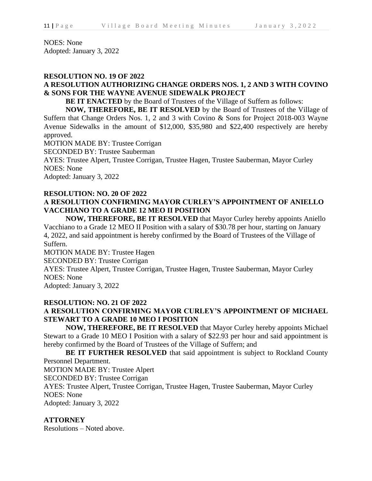NOES: None Adopted: January 3, 2022

#### **RESOLUTION NO. 19 OF 2022**

# **A RESOLUTION AUTHORIZING CHANGE ORDERS NOS. 1, 2 AND 3 WITH COVINO & SONS FOR THE WAYNE AVENUE SIDEWALK PROJECT**

**BE IT ENACTED** by the Board of Trustees of the Village of Suffern as follows:

**NOW, THEREFORE, BE IT RESOLVED** by the Board of Trustees of the Village of Suffern that Change Orders Nos. 1, 2 and 3 with Covino & Sons for Project 2018-003 Wayne Avenue Sidewalks in the amount of \$12,000, \$35,980 and \$22,400 respectively are hereby approved.

MOTION MADE BY: Trustee Corrigan

SECONDED BY: Trustee Sauberman

AYES: Trustee Alpert, Trustee Corrigan, Trustee Hagen, Trustee Sauberman, Mayor Curley NOES: None

Adopted: January 3, 2022

# **RESOLUTION: NO. 20 OF 2022 A RESOLUTION CONFIRMING MAYOR CURLEY'S APPOINTMENT OF ANIELLO VACCHIANO TO A GRADE 12 MEO II POSITION**

**NOW, THEREFORE, BE IT RESOLVED** that Mayor Curley hereby appoints Aniello Vacchiano to a Grade 12 MEO II Position with a salary of \$30.78 per hour, starting on January 4, 2022, and said appointment is hereby confirmed by the Board of Trustees of the Village of Suffern.

MOTION MADE BY: Trustee Hagen

SECONDED BY: Trustee Corrigan

AYES: Trustee Alpert, Trustee Corrigan, Trustee Hagen, Trustee Sauberman, Mayor Curley NOES: None

Adopted: January 3, 2022

# **RESOLUTION: NO. 21 OF 2022**

# **A RESOLUTION CONFIRMING MAYOR CURLEY'S APPOINTMENT OF MICHAEL STEWART TO A GRADE 10 MEO I POSITION**

**NOW, THEREFORE, BE IT RESOLVED** that Mayor Curley hereby appoints Michael Stewart to a Grade 10 MEO I Position with a salary of \$22.93 per hour and said appointment is hereby confirmed by the Board of Trustees of the Village of Suffern; and

**BE IT FURTHER RESOLVED** that said appointment is subject to Rockland County Personnel Department.

MOTION MADE BY: Trustee Alpert

SECONDED BY: Trustee Corrigan

AYES: Trustee Alpert, Trustee Corrigan, Trustee Hagen, Trustee Sauberman, Mayor Curley NOES: None

Adopted: January 3, 2022

# **ATTORNEY**

Resolutions – Noted above.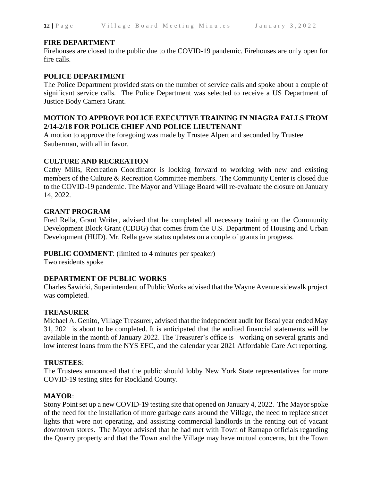#### **FIRE DEPARTMENT**

Firehouses are closed to the public due to the COVID-19 pandemic. Firehouses are only open for fire calls.

# **POLICE DEPARTMENT**

The Police Department provided stats on the number of service calls and spoke about a couple of significant service calls. The Police Department was selected to receive a US Department of Justice Body Camera Grant.

# **MOTION TO APPROVE POLICE EXECUTIVE TRAINING IN NIAGRA FALLS FROM 2/14-2/18 FOR POLICE CHIEF AND POLICE LIEUTENANT**

A motion to approve the foregoing was made by Trustee Alpert and seconded by Trustee Sauberman, with all in favor.

# **CULTURE AND RECREATION**

Cathy Mills, Recreation Coordinator is looking forward to working with new and existing members of the Culture & Recreation Committee members. The Community Center is closed due to the COVID-19 pandemic. The Mayor and Village Board will re-evaluate the closure on January 14, 2022.

#### **GRANT PROGRAM**

Fred Rella, Grant Writer, advised that he completed all necessary training on the Community Development Block Grant (CDBG) that comes from the U.S. Department of Housing and Urban Development (HUD). Mr. Rella gave status updates on a couple of grants in progress.

# **PUBLIC COMMENT**: (limited to 4 minutes per speaker)

Two residents spoke

# **DEPARTMENT OF PUBLIC WORKS**

Charles Sawicki, Superintendent of Public Works advised that the Wayne Avenue sidewalk project was completed.

# **TREASURER**

Michael A. Genito, Village Treasurer, advised that the independent audit for fiscal year ended May 31, 2021 is about to be completed. It is anticipated that the audited financial statements will be available in the month of January 2022. The Treasurer's office is working on several grants and low interest loans from the NYS EFC, and the calendar year 2021 Affordable Care Act reporting.

# **TRUSTEES**:

The Trustees announced that the public should lobby New York State representatives for more COVID-19 testing sites for Rockland County.

# **MAYOR**:

Stony Point set up a new COVID-19 testing site that opened on January 4, 2022. The Mayor spoke of the need for the installation of more garbage cans around the Village, the need to replace street lights that were not operating, and assisting commercial landlords in the renting out of vacant downtown stores. The Mayor advised that he had met with Town of Ramapo officials regarding the Quarry property and that the Town and the Village may have mutual concerns, but the Town